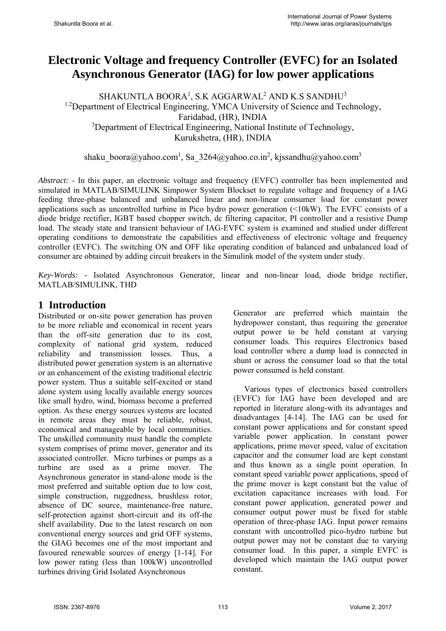# **Electronic Voltage and frequency Controller (EVFC) for an Isolated Asynchronous Generator (IAG) for low power applications**

 $\rm SHAKUNTLA}$   $\rm BOORA^{1},$   $\rm S.K$   $\rm AGGARMAL^{2}$   $\rm AND\ K.S$   $\rm SANDHU^{3}$ <sup>1.2</sup>Department of Electrical Engineering, YMCA University of Science and Technology, Faridabad, (HR), INDIA <sup>3</sup>Department of Electrical Engineering, National Institute of Technology, Kurukshetra, (HR), INDIA

shaku boora@yahoo.com<sup>1</sup>, Sa 3264@yahoo.co.in<sup>2</sup>, kjssandhu@yahoo.com<sup>3</sup>

*Abstract:* - In this paper, an electronic voltage and frequency (EVFC) controller has been implemented and simulated in MATLAB/SIMULINK Simpower System Blockset to regulate voltage and frequency of a IAG feeding three-phase balanced and unbalanced linear and non-linear consumer load for constant power applications such as uncontrolled turbine in Pico hydro power generation (<10kW). The EVFC consists of a diode bridge rectifier, IGBT based chopper switch, dc filtering capacitor, PI controller and a resistive Dump load. The steady state and transient behaviour of IAG-EVFC system is examined and studied under different operating conditions to demonstrate the capabilities and effectiveness of electronic voltage and frequency controller (EVFC). The switching ON and OFF like operating condition of balanced and unbalanced load of consumer are obtained by adding circuit breakers in the Simulink model of the system under study.

*Key-Words: -* Isolated Asynchronous Generator, linear and non-linear load, diode bridge rectifier, MATLAB/SIMULINK, THD

### **1 Introduction**

Distributed or on-site power generation has proven to be more reliable and economical in recent years than the off-site generation due to its cost, complexity of national grid system, reduced reliability and transmission losses. Thus, a distributed power generation system is an alternative or an enhancement of the existing traditional electric power system. Thus a suitable self-excited or stand alone system using locally available energy sources like small hydro, wind, biomass become a preferred option. As these energy sources systems are located in remote areas they must be reliable, robust, economical and manageable by local communities. The unskilled community must handle the complete system comprises of prime mover, generator and its associated controller. Micro turbines or pumps as a turbine are used as a prime mover. The Asynchronous generator in stand-alone mode is the most preferred and suitable option due to low cost, simple construction, ruggedness, brushless rotor, absence of DC source, maintenance-free nature, self-protection against short-circuit and its off-the shelf availability. Due to the latest research on non conventional energy sources and grid OFF systems, the GIAG becomes one of the most important and favoured renewable sources of energy [1-14]. For low power rating (less than 100kW) uncontrolled turbines driving Grid Isolated Asynchronous

Generator are preferred which maintain the hydropower constant, thus requiring the generator output power to be held constant at varying consumer loads. This requires Electronics based load controller where a dump load is connected in shunt or across the consumer load so that the total power consumed is held constant.

Various types of electronics based controllers (EVFC) for IAG have been developed and are reported in literature along-with its advantages and disadvantages [4-14]. The IAG can be used for constant power applications and for constant speed variable power application. In constant power applications, prime mover speed, value of excitation capacitor and the consumer load are kept constant and thus known as a single point operation. In constant speed variable power applications, speed of the prime mover is kept constant but the value of excitation capacitance increases with load. For constant power application, generated power and consumer output power must be fixed for stable operation of three-phase IAG. Input power remains constant with uncontrolled pico-hydro turbine but output power may not be constant due to varying consumer load. In this paper, a simple EVFC is developed which maintain the IAG output power constant.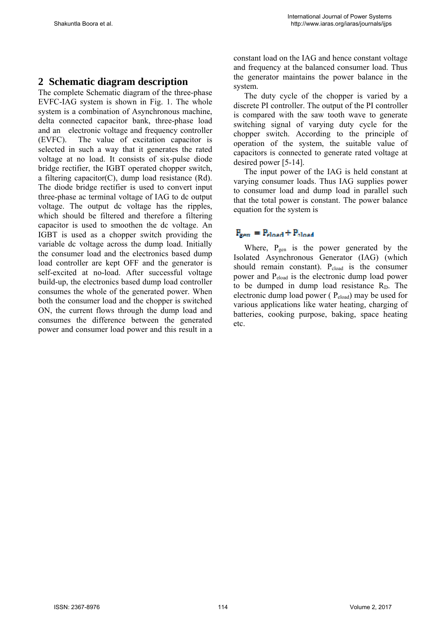### **2 Schematic diagram description**

The complete Schematic diagram of the three-phase EVFC-IAG system is shown in Fig. 1. The whole system is a combination of Asynchronous machine, delta connected capacitor bank, three-phase load and an electronic voltage and frequency controller (EVFC). The value of excitation capacitor is selected in such a way that it generates the rated voltage at no load. It consists of six-pulse diode bridge rectifier, the IGBT operated chopper switch, a filtering capacitor(C), dump load resistance  $(Rd)$ . The diode bridge rectifier is used to convert input three-phase ac terminal voltage of IAG to dc output voltage. The output dc voltage has the ripples, which should be filtered and therefore a filtering capacitor is used to smoothen the dc voltage. An IGBT is used as a chopper switch providing the variable dc voltage across the dump load. Initially the consumer load and the electronics based dump load controller are kept OFF and the generator is self-excited at no-load. After successful voltage build-up, the electronics based dump load controller consumes the whole of the generated power. When both the consumer load and the chopper is switched ON, the current flows through the dump load and consumes the difference between the generated power and consumer load power and this result in a constant load on the IAG and hence constant voltage and frequency at the balanced consumer load. Thus the generator maintains the power balance in the system.

The duty cycle of the chopper is varied by a discrete PI controller. The output of the PI controller is compared with the saw tooth wave to generate switching signal of varying duty cycle for the chopper switch. According to the principle of operation of the system, the suitable value of capacitors is connected to generate rated voltage at desired power [5-14].

The input power of the IAG is held constant at varying consumer loads. Thus IAG supplies power to consumer load and dump load in parallel such that the total power is constant. The power balance equation for the system is

### $F_{\text{sem}} = F_{\text{cloud}} + F_{\text{cloud}}$

Where, P<sub>gen</sub> is the power generated by the Isolated Asynchronous Generator (IAG) (which should remain constant).  $P_{cloud}$  is the consumer power and Peload is the electronic dump load power to be dumped in dump load resistance R<sub>D</sub>. The electronic dump load power ( Peload) may be used for various applications like water heating, charging of batteries, cooking purpose, baking, space heating etc.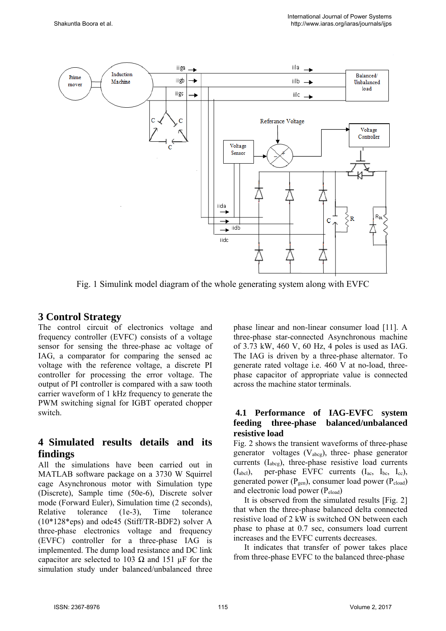

Fig. 1 Simulink model diagram of the whole generating system along with EVFC

## **3 Control Strategy**

The control circuit of electronics voltage and frequency controller (EVFC) consists of a voltage sensor for sensing the three-phase ac voltage of IAG, a comparator for comparing the sensed ac voltage with the reference voltage, a discrete PI controller for processing the error voltage. The output of PI controller is compared with a saw tooth carrier waveform of 1 kHz frequency to generate the PWM switching signal for IGBT operated chopper switch.

# **4 Simulated results details and its findings**

All the simulations have been carried out in MATLAB software package on a 3730 W Squirrel cage Asynchronous motor with Simulation type (Discrete), Sample time (50e-6), Discrete solver mode (Forward Euler), Simulation time (2 seconds),<br>Relative tolerance (1e-3). Time tolerance Relative tolerance (1e-3), Time tolerance (10\*128\*eps) and ode45 (Stiff/TR-BDF2) solver A three-phase electronics voltage and frequency (EVFC) controller for a three-phase IAG is implemented. The dump load resistance and DC link capacitor are selected to 103  $\Omega$  and 151  $\mu$ F for the simulation study under balanced/unbalanced three phase linear and non-linear consumer load [11]. A three-phase star-connected Asynchronous machine of 3.73 kW, 460 V, 60 Hz, 4 poles is used as IAG. The IAG is driven by a three-phase alternator. To generate rated voltage i.e.  $460$  V at no-load, threephase capacitor of appropriate value is connected across the machine stator terminals.

### **4.1 Performance of IAG-EVFC system feeding three-phase balanced/unbalanced resistive load**

Fig. 2 shows the transient waveforms of three-phase generator voltages  $(V_{\text{abcg}})$ , three- phase generator currents (Iabcg), three-phase resistive load currents (Iabcl), per-phase EVFC currents (Iac, Ibc, Icc), generated power ( $P_{gen}$ ), consumer load power ( $P_{cloud}$ ) and electronic load power (Peload)

It is observed from the simulated results [Fig. 2] that when the three-phase balanced delta connected resistive load of 2 kW is switched ON between each phase to phase at 0.7 sec, consumers load current increases and the EVFC currents decreases.

It indicates that transfer of power takes place from three-phase EVFC to the balanced three-phase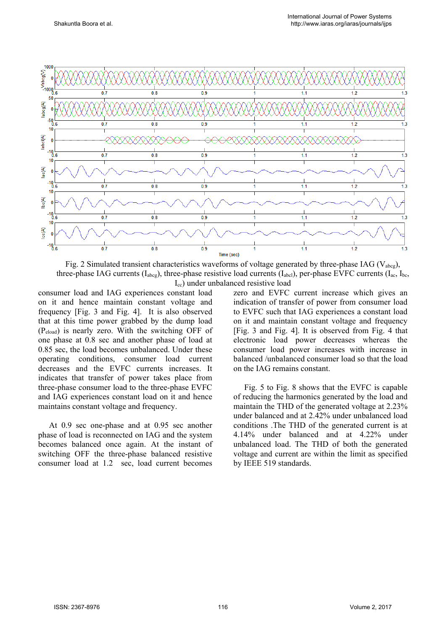

Fig. 2 Simulated transient characteristics waveforms of voltage generated by three-phase IAG ( $V_{\text{abc}}$ ), three-phase IAG currents ( $I_{abcg}$ ), three-phase resistive load currents ( $I_{abc}$ ), per-phase EVFC currents ( $I_{ac}$ ,  $I_{bc}$ , Icc) under unbalanced resistive load

consumer load and IAG experiences constant load on it and hence maintain constant voltage and frequency [Fig. 3 and Fig. 4]. It is also observed that at this time power grabbed by the dump load (Peload) is nearly zero. With the switching OFF of one phase at 0.8 sec and another phase of load at 0.85 sec, the load becomes unbalanced. Under these operating conditions, consumer load current decreases and the EVFC currents increases. It indicates that transfer of power takes place from three-phase consumer load to the three-phase EVFC and IAG experiences constant load on it and hence maintains constant voltage and frequency.

At 0.9 sec one-phase and at 0.95 sec another phase of load is reconnected on IAG and the system becomes balanced once again. At the instant of switching OFF the three-phase balanced resistive consumer load at 1.2 sec, load current becomes zero and EVFC current increase which gives an indication of transfer of power from consumer load to EVFC such that IAG experiences a constant load on it and maintain constant voltage and frequency [Fig. 3 and Fig. 4]. It is observed from Fig. 4 that electronic load power decreases whereas the consumer load power increases with increase in balanced /unbalanced consumer load so that the load on the IAG remains constant.

Fig. 5 to Fig. 8 shows that the EVFC is capable of reducing the harmonics generated by the load and maintain the THD of the generated voltage at 2.23% under balanced and at 2.42% under unbalanced load conditions .The THD of the generated current is at 4.14% under balanced and at 4.22% under unbalanced load. The THD of both the generated voltage and current are within the limit as specified by IEEE 519 standards.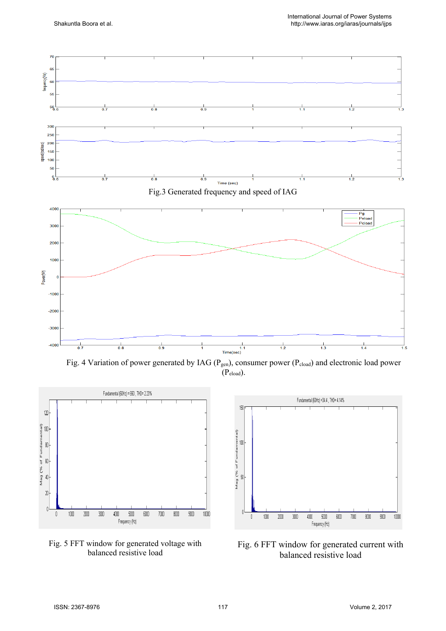

(Peload).







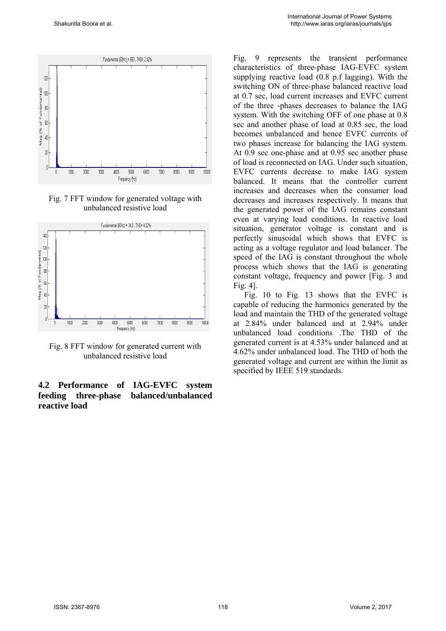

Fig. 7 FFT window for generated voltage with unbalanced resistive load



Fig. 8 FFT window for generated current with unbalanced resistive load

#### **4.2 Performance of IAG-EVFC system feeding three-phase balanced/unbalanced reactive load**

Fig. 9 represents the transient performance characteristics of three-phase IAG-EVFC system supplying reactive load (0.8 p.f lagging). With the switching ON of three-phase balanced reactive load at 0.7 sec, load current increases and EVFC current of the three -phases decreases to balance the IAG system. With the switching OFF of one phase at 0.8 sec and another phase of load at 0.85 sec, the load becomes unbalanced and hence EVFC currents of two phases increase for balancing the IAG system. At 0.9 sec one-phase and at 0.95 sec another phase of load is reconnected on IAG. Under such situation, EVFC currents decrease to make IAG system balanced. It means that the controller current increases and decreases when the consumer load decreases and increases respectively. It means that the generated power of the IAG remains constant even at varying load conditions. In reactive load situation, generator voltage is constant and is perfectly sinusoidal which shows that EVFC is acting as a voltage regulator and load balancer. The speed of the IAG is constant throughout the whole process which shows that the IAG is generating constant voltage, frequency and power [Fig. 3 and Fig. 4].

Fig. 10 to Fig. 13 shows that the EVFC is capable of reducing the harmonics generated by the load and maintain the THD of the generated voltage at 2.84% under balanced and at 2.94% under unbalanced load conditions .The THD of the generated current is at 4.53% under balanced and at 4.62% under unbalanced load. The THD of both the generated voltage and current are within the limit as specified by IEEE 519 standards.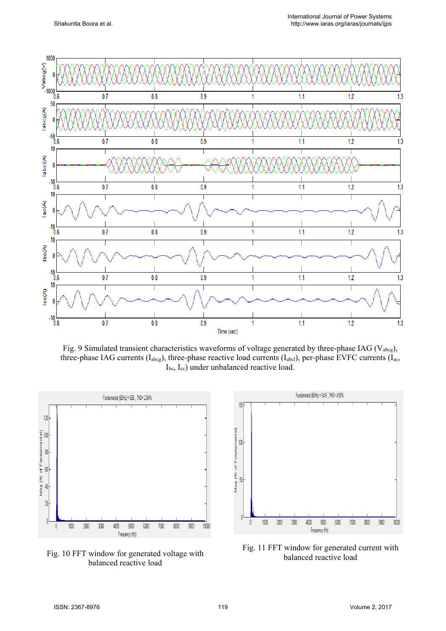

Fig. 9 Simulated transient characteristics waveforms of voltage generated by three-phase IAG ( $V_{\text{abce}}$ ), three-phase IAG currents (I<sub>abcg</sub>), three-phase reactive load currents (I<sub>abcl</sub>), per-phase EVFC currents (I<sub>ac</sub>, Ibc, Icc) under unbalanced reactive load.



Fig. 10 FFT window for generated voltage with balanced reactive load



Fig. 11 FFT window for generated current with balanced reactive load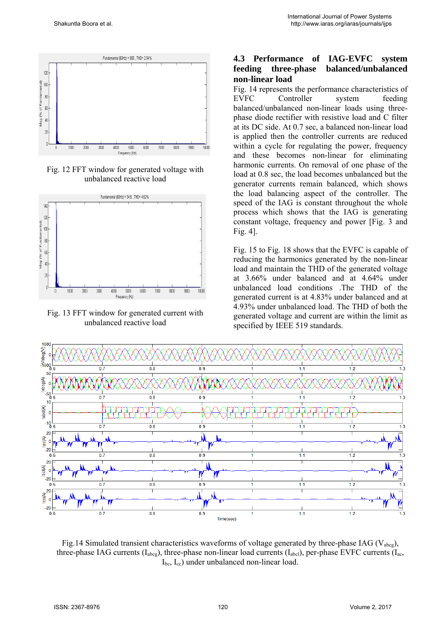

Fig. 12 FFT window for generated voltage with unbalanced reactive load



Fig. 13 FFT window for generated current with unbalanced reactive load

### **4.3 Performance of IAG-EVFC system feeding three-phase balanced/unbalanced non-linear load**

Fig. 14 represents the performance characteristics of EVFC Controller system feeding balanced/unbalanced non-linear loads using threephase diode rectifier with resistive load and C filter at its DC side. At 0.7 sec, a balanced non-linear load is applied then the controller currents are reduced within a cycle for regulating the power, frequency and these becomes non-linear for eliminating harmonic currents. On removal of one phase of the load at 0.8 sec, the load becomes unbalanced but the generator currents remain balanced, which shows the load balancing aspect of the controller. The speed of the IAG is constant throughout the whole process which shows that the IAG is generating constant voltage, frequency and power [Fig. 3 and Fig. 4].

Fig. 15 to Fig. 18 shows that the EVFC is capable of reducing the harmonics generated by the non-linear load and maintain the THD of the generated voltage at 3.66% under balanced and at 4.64% under unbalanced load conditions .The THD of the generated current is at 4.83% under balanced and at 4.93% under unbalanced load. The THD of both the generated voltage and current are within the limit as specified by IEEE 519 standards.



Fig.14 Simulated transient characteristics waveforms of voltage generated by three-phase IAG (V<sub>abcg</sub>), three-phase IAG currents ( $I_{abcg}$ ), three-phase non-linear load currents ( $I_{abc}$ ), per-phase EVFC currents ( $I_{ac}$ , Ibc, Icc) under unbalanced non-linear load.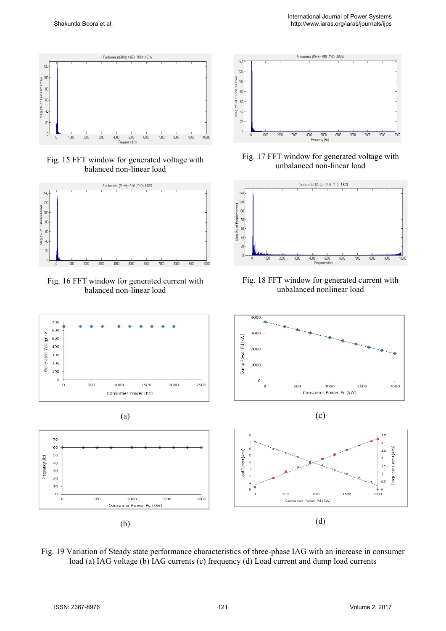

Fig. 15 FFT window for generated voltage with balanced non-linear load



Fig. 16 FFT window for generated current with balanced non-linear load





Fig. 17 FFT window for generated voltage with unbalanced non-linear load



Fig. 18 FFT window for generated current with unbalanced nonlinear load



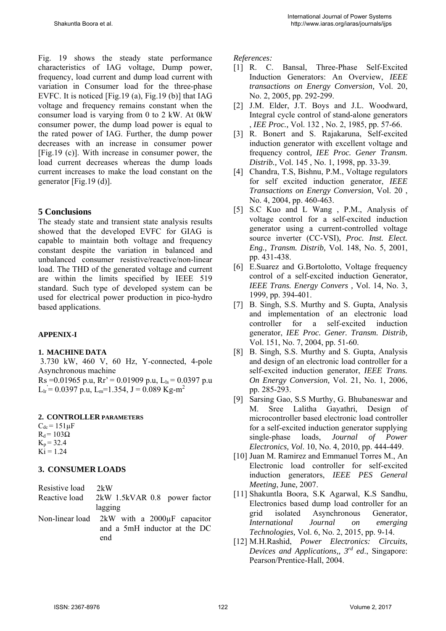Fig. 19 shows the steady state performance characteristics of IAG voltage, Dump power, frequency, load current and dump load current with variation in Consumer load for the three-phase EVFC. It is noticed [Fig.19 (a), Fig.19 (b)] that IAG voltage and frequency remains constant when the consumer load is varying from 0 to 2 kW. At 0kW consumer power, the dump load power is equal to the rated power of IAG. Further, the dump power decreases with an increase in consumer power [Fig.19 (c)]. With increase in consumer power, the load current decreases whereas the dump loads current increases to make the load constant on the generator [Fig.19 (d)].

### **5 Conclusions**

The steady state and transient state analysis results showed that the developed EVFC for GIAG is capable to maintain both voltage and frequency constant despite the variation in balanced and unbalanced consumer resistive/reactive/non-linear load. The THD of the generated voltage and current are within the limits specified by IEEE 519 standard. Such type of developed system can be used for electrical power production in pico-hydro based applications.

### **APPENIX-I**

#### **1. MACHINE DATA**

 3.730 kW, 460 V, 60 Hz, Y-connected, 4-pole Asynchronous machine

Rs = 0.01965 p.u, Rr' = 0.01909 p.u, L<sub>ls</sub> = 0.0397 p.u  $L_{ir} = 0.0397 \text{ p.u}, L_{m} = 1.354, J = 0.089 \text{ Kg-m}^2$ 

#### **2. CONTROLLER PARAMETERS**

 $C_{dc}$  = 151 $\mu$ F  $R_d$  = 103Ω  $K_p = 32.4$  $Ki = 1.24$ 

### **3. CONSUMER LOADS**

| Resistive load 2kW |                                                    |
|--------------------|----------------------------------------------------|
| Reactive load      | 2kW 1.5kVAR 0.8 power factor                       |
|                    | lagging                                            |
|                    | Non-linear load $2kW$ with a $2000\mu F$ capacitor |
|                    |                                                    |

and a 5mH inductor at the DC end

*References:* 

- [1] R. C. Bansal, Three-Phase Self-Excited Induction Generators: An Overview, *IEEE transactions on Energy Conversion,* Vol. 20, No. 2, 2005, pp. 292-299.
- [2] J.M. Elder, J.T. Boys and J.L. Woodward, Integral cycle control of stand-alone generators , *IEE Proc.,* Vol. 132 , No. 2, 1985, pp. 57-66.
- [3] R. Bonert and S. Rajakaruna, Self-excited induction generator with excellent voltage and frequency control*, IEE Proc. Gener Transm. Distrib.,* Vol. 145 , No. 1, 1998, pp. 33-39.
- [4] Chandra, T.S, Bishnu, P.M., Voltage regulators for self excited induction generator, *IEEE Transactions on Energy Conversion*, Vol. 20 , No. 4, 2004, pp. 460-463.
- [5] S.C Kuo and L Wang , P.M., Analysis of voltage control for a self-excited induction generator using a current-controlled voltage source inverter (CC-VSI), *Proc. Inst. Elect. Eng., Transm. Distrib,* Vol. 148, No. 5, 2001, pp. 431-438.
- [6] E.Suarez and G.Bortolotto, Voltage frequency control of a self-excited induction Generator, *IEEE Trans. Energy Convers ,* Vol. 14, No. 3, 1999, pp. 394-401.
- [7] B. Singh, S.S. Murthy and S. Gupta, Analysis and implementation of an electronic load controller for a self-excited induction generator, *IEE Proc. Gener. Transm. Distrib,*  Vol. 151, No. 7, 2004, pp. 51-60.
- [8] B. Singh, S.S. Murthy and S. Gupta, Analysis and design of an electronic load controller for a self-excited induction generator, *IEEE Trans. On Energy Conversion,* Vol. 21, No. 1, 2006, pp. 285-293.
- [9] Sarsing Gao, S.S Murthy, G. Bhubaneswar and M. Sree Lalitha Gayathri, Design of microcontroller based electronic load controller for a self-excited induction generator supplying single-phase loads, *Journal of Power Electronics, Vol*. 10, No. 4, 2010, pp. 444-449.
- [10] Juan M. Ramirez and Emmanuel Torres M., An Electronic load controller for self-excited induction generators, *IEEE PES General Meeting*, June*,* 2007.
- [11] Shakuntla Boora, S.K Agarwal, K.S Sandhu, Electronics based dump load controller for an grid isolated Asynchronous Generator, *International Journal on emerging Technologies,* Vol. 6, No. 2, 2015, pp. 9-14.
- [12] M.H.Rashid, *Power Electronics: Circuits, Devices and Applications,, 3rd ed*., Singapore: Pearson/Prentice-Hall, 2004.